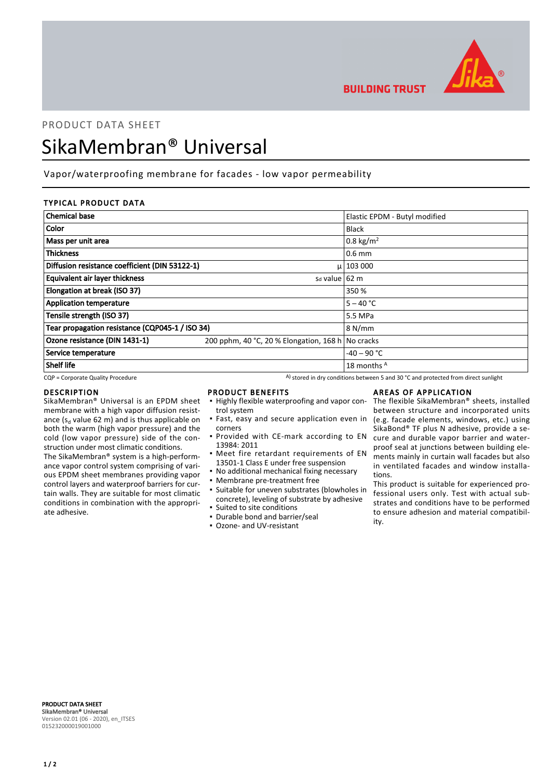

**BUILDING TRUST** 

# PRODUCT DATA SHEET SikaMembran® Universal

# Vapor/waterproofing membrane for facades - low vapor permeability

# TYPICAL PRODUCT DATA

| <b>Chemical base</b>                            |                                                   | Elastic EPDM - Butyl modified |
|-------------------------------------------------|---------------------------------------------------|-------------------------------|
| <b>Color</b>                                    |                                                   | <b>Black</b>                  |
| Mass per unit area                              |                                                   | 0.8 kg/m <sup>2</sup>         |
| <b>Thickness</b>                                |                                                   | $0.6$ mm                      |
| Diffusion resistance coefficient (DIN 53122-1)  |                                                   | $\mu$   103 000               |
| <b>Equivalent air layer thickness</b>           | s <sub>d</sub> value 62 m                         |                               |
| Elongation at break (ISO 37)                    |                                                   | 350 %                         |
| <b>Application temperature</b>                  |                                                   | $5 - 40 °C$                   |
| Tensile strength (ISO 37)                       |                                                   | 5.5 MPa                       |
| Tear propagation resistance (CQP045-1 / ISO 34) |                                                   | 8 N/mm                        |
| Ozone resistance (DIN 1431-1)                   | 200 pphm, 40 °C, 20 % Elongation, 168 h No cracks |                               |
| Service temperature                             |                                                   | $-40 - 90$ °C                 |
| Shelf life                                      |                                                   | 18 months A                   |

 $CQP$  = Corporate Quality Procedure  $A)$  stored in dry conditions between 5 and 30 °C and protected from direct sunlight

#### DESCRIPTION

SikaMembran® Universal is an EPDM sheet membrane with a high vapor diffusion resistance ( $s_d$  value 62 m) and is thus applicable on both the warm (high vapor pressure) and the cold (low vapor pressure) side of the construction under most climatic conditions.

The SikaMembran® system is a high-performance vapor control system comprising of various EPDM sheet membranes providing vapor control layers and waterproof barriers for curtain walls. They are suitable for most climatic conditions in combination with the appropriate adhesive.

#### PRODUCT BENEFITS

- **.** Highly flexible waterproofing and vapor control system
- **·** Fast, easy and secure application even in corners
- **Provided with CE-mark according to EN** 13984: 2011
- **•** Meet fire retardant requirements of EN 13501-1 Class E under free suspension
- No additional mechanical fixing necessary
- Membrane pre-treatment free
- Suitable for uneven substrates (blowholes in concrete), leveling of substrate by adhesive ▪ Suited to site conditions
- Durable bond and barrier/seal
- Ozone- and UV-resistant

# AREAS OF APPLICATION

The flexible SikaMembran® sheets, installed between structure and incorporated units (e.g. facade elements, windows, etc.) using SikaBond® TF plus N adhesive, provide a secure and durable vapor barrier and waterproof seal at junctions between building elements mainly in curtain wall facades but also in ventilated facades and window installations.

This product is suitable for experienced professional users only. Test with actual substrates and conditions have to be performed to ensure adhesion and material compatibility.

PRODUCT DATA SHEET SikaMembran® Universal Version 02.01 (06 - 2020), en\_ITSES 015232000019001000